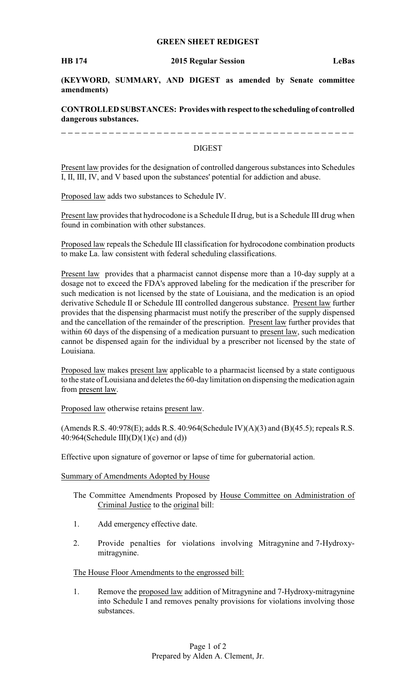## **GREEN SHEET REDIGEST**

**(KEYWORD, SUMMARY, AND DIGEST as amended by Senate committee amendments)**

## **CONTROLLED SUBSTANCES: Provides with respectto the scheduling of controlled dangerous substances.**

-------------

## DIGEST

Present law provides for the designation of controlled dangerous substances into Schedules I, II, III, IV, and V based upon the substances' potential for addiction and abuse.

Proposed law adds two substances to Schedule IV.

Present law provides that hydrocodone is a Schedule II drug, but is a Schedule III drug when found in combination with other substances.

Proposed law repeals the Schedule III classification for hydrocodone combination products to make La. law consistent with federal scheduling classifications.

Present law provides that a pharmacist cannot dispense more than a 10-day supply at a dosage not to exceed the FDA's approved labeling for the medication if the prescriber for such medication is not licensed by the state of Louisiana, and the medication is an opiod derivative Schedule II or Schedule III controlled dangerous substance. Present law further provides that the dispensing pharmacist must notify the prescriber of the supply dispensed and the cancellation of the remainder of the prescription. Present law further provides that within 60 days of the dispensing of a medication pursuant to present law, such medication cannot be dispensed again for the individual by a prescriber not licensed by the state of Louisiana.

Proposed law makes present law applicable to a pharmacist licensed by a state contiguous to the state of Louisiana and deletes the 60-day limitation on dispensing the medication again from present law.

Proposed law otherwise retains present law.

(Amends R.S.  $40:978(E)$ ; adds R.S.  $40:964(Schedule IV)(A)(3)$  and  $(B)(45.5)$ ; repeals R.S. 40:964(Schedule III)(D)(1)(c) and (d))

Effective upon signature of governor or lapse of time for gubernatorial action.

#### Summary of Amendments Adopted by House

- The Committee Amendments Proposed by House Committee on Administration of Criminal Justice to the original bill:
- 1. Add emergency effective date.
- 2. Provide penalties for violations involving Mitragynine and 7-Hydroxymitragynine.

### The House Floor Amendments to the engrossed bill:

1. Remove the proposed law addition of Mitragynine and 7-Hydroxy-mitragynine into Schedule I and removes penalty provisions for violations involving those substances.